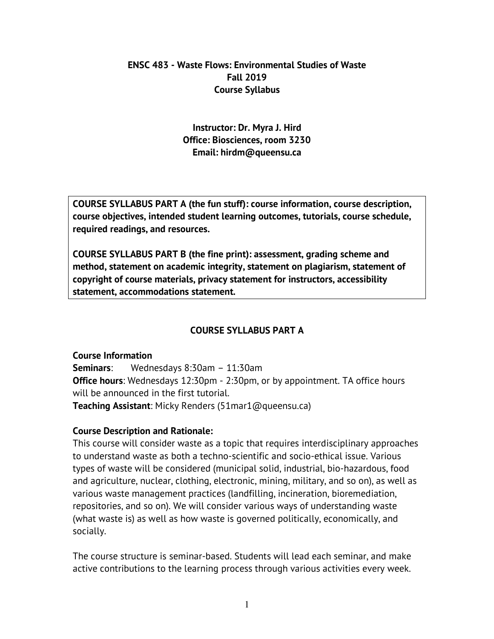## **ENSC 483 - Waste Flows: Environmental Studies of Waste Fall 2019 Course Syllabus**

# **Instructor: Dr. Myra J. Hird Office: Biosciences, room 3230 Email: hirdm@queensu.ca**

**COURSE SYLLABUS PART A (the fun stuff): course information, course description, course objectives, intended student learning outcomes, tutorials, course schedule, required readings, and resources.**

**COURSE SYLLABUS PART B (the fine print): assessment, grading scheme and method, statement on academic integrity, statement on plagiarism, statement of copyright of course materials, privacy statement for instructors, accessibility statement, accommodations statement.**

# **COURSE SYLLABUS PART A**

### **Course Information**

**Seminars**: Wednesdays 8:30am – 11:30am **Office hours**: Wednesdays 12:30pm - 2:30pm, or by appointment. TA office hours will be announced in the first tutorial. **Teaching Assistant**: Micky Renders (51mar1@queensu.ca)

### **Course Description and Rationale:**

This course will consider waste as a topic that requires interdisciplinary approaches to understand waste as both a techno-scientific and socio-ethical issue. Various types of waste will be considered (municipal solid, industrial, bio-hazardous, food and agriculture, nuclear, clothing, electronic, mining, military, and so on), as well as various waste management practices (landfilling, incineration, bioremediation, repositories, and so on). We will consider various ways of understanding waste (what waste is) as well as how waste is governed politically, economically, and socially.

The course structure is seminar-based. Students will lead each seminar, and make active contributions to the learning process through various activities every week.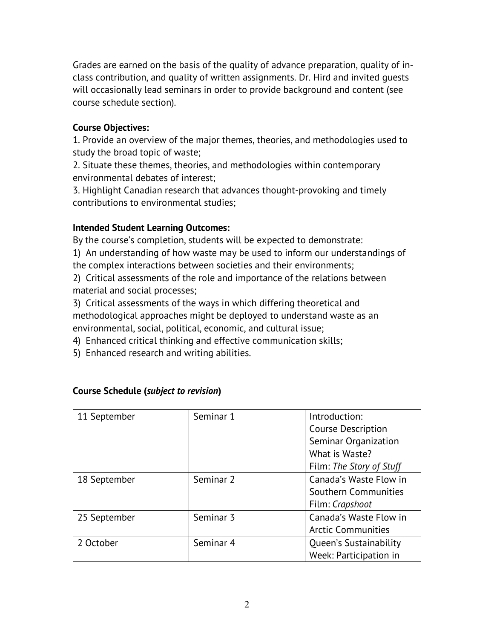Grades are earned on the basis of the quality of advance preparation, quality of inclass contribution, and quality of written assignments. Dr. Hird and invited guests will occasionally lead seminars in order to provide background and content (see course schedule section).

# **Course Objectives:**

1. Provide an overview of the major themes, theories, and methodologies used to study the broad topic of waste;

2. Situate these themes, theories, and methodologies within contemporary environmental debates of interest;

3. Highlight Canadian research that advances thought-provoking and timely contributions to environmental studies;

# **Intended Student Learning Outcomes:**

By the course's completion, students will be expected to demonstrate:

1) An understanding of how waste may be used to inform our understandings of

the complex interactions between societies and their environments;

2) Critical assessments of the role and importance of the relations between material and social processes;

3) Critical assessments of the ways in which differing theoretical and methodological approaches might be deployed to understand waste as an environmental, social, political, economic, and cultural issue;

4) Enhanced critical thinking and effective communication skills;

5) Enhanced research and writing abilities.

| 11 September | Seminar 1 | Introduction:             |
|--------------|-----------|---------------------------|
|              |           | <b>Course Description</b> |
|              |           | Seminar Organization      |
|              |           | What is Waste?            |
|              |           | Film: The Story of Stuff  |
| 18 September | Seminar 2 | Canada's Waste Flow in    |
|              |           | Southern Communities      |
|              |           | Film: Crapshoot           |
| 25 September | Seminar 3 | Canada's Waste Flow in    |
|              |           | <b>Arctic Communities</b> |
| 2 October    | Seminar 4 | Queen's Sustainability    |
|              |           | Week: Participation in    |

# **Course Schedule (***subject to revision***)**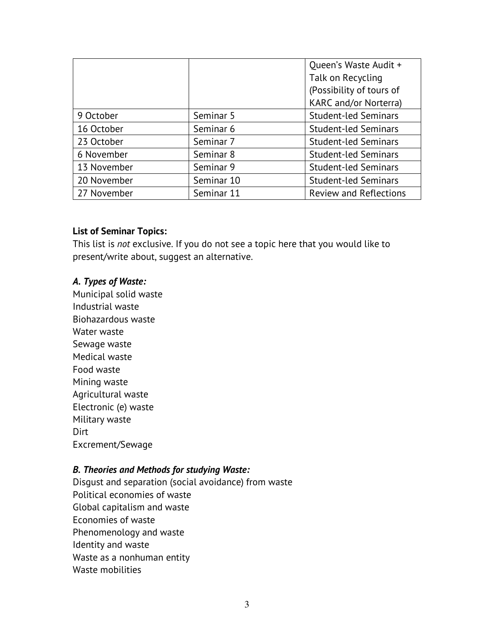|             |            | Queen's Waste Audit +         |
|-------------|------------|-------------------------------|
|             |            | Talk on Recycling             |
|             |            | (Possibility of tours of      |
|             |            | <b>KARC</b> and/or Norterra)  |
| 9 October   | Seminar 5  | <b>Student-led Seminars</b>   |
| 16 October  | Seminar 6  | <b>Student-led Seminars</b>   |
| 23 October  | Seminar 7  | <b>Student-led Seminars</b>   |
| 6 November  | Seminar 8  | <b>Student-led Seminars</b>   |
| 13 November | Seminar 9  | <b>Student-led Seminars</b>   |
| 20 November | Seminar 10 | <b>Student-led Seminars</b>   |
| 27 November | Seminar 11 | <b>Review and Reflections</b> |

#### **List of Seminar Topics:**

This list is *not* exclusive. If you do not see a topic here that you would like to present/write about, suggest an alternative.

### *A. Types of Waste:*

Municipal solid waste Industrial waste Biohazardous waste Water waste Sewage waste Medical waste Food waste Mining waste Agricultural waste Electronic (e) waste Military waste **Dirt** Excrement/Sewage

### *B. Theories and Methods for studying Waste:*

Disgust and separation (social avoidance) from waste Political economies of waste Global capitalism and waste Economies of waste Phenomenology and waste Identity and waste Waste as a nonhuman entity Waste mobilities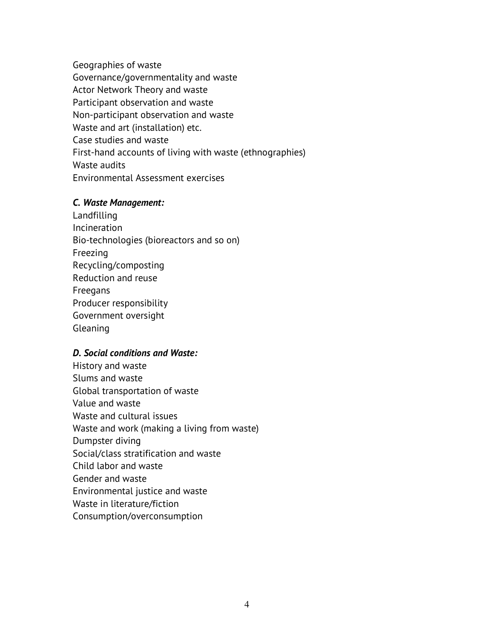Geographies of waste Governance/governmentality and waste Actor Network Theory and waste Participant observation and waste Non-participant observation and waste Waste and art (installation) etc. Case studies and waste First-hand accounts of living with waste (ethnographies) Waste audits Environmental Assessment exercises

#### *C. Waste Management:*

Landfilling Incineration Bio-technologies (bioreactors and so on) Freezing Recycling/composting Reduction and reuse Freegans Producer responsibility Government oversight Gleaning

#### *D. Social conditions and Waste:*

History and waste Slums and waste Global transportation of waste Value and waste Waste and cultural issues Waste and work (making a living from waste) Dumpster diving Social/class stratification and waste Child labor and waste Gender and waste Environmental justice and waste Waste in literature/fiction Consumption/overconsumption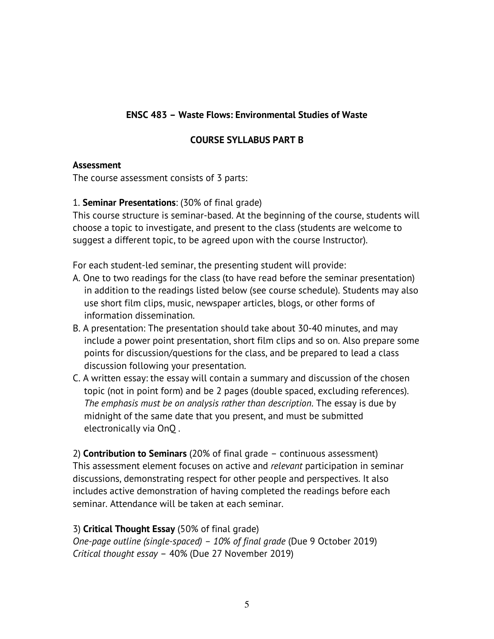# **ENSC 483 – Waste Flows: Environmental Studies of Waste**

## **COURSE SYLLABUS PART B**

### **Assessment**

The course assessment consists of 3 parts:

### 1. **Seminar Presentations**: (30% of final grade)

This course structure is seminar-based. At the beginning of the course, students will choose a topic to investigate, and present to the class (students are welcome to suggest a different topic, to be agreed upon with the course Instructor).

For each student-led seminar, the presenting student will provide:

- A. One to two readings for the class (to have read before the seminar presentation) in addition to the readings listed below (see course schedule). Students may also use short film clips, music, newspaper articles, blogs, or other forms of information dissemination.
- B. A presentation: The presentation should take about 30-40 minutes, and may include a power point presentation, short film clips and so on. Also prepare some points for discussion/questions for the class, and be prepared to lead a class discussion following your presentation.
- C. A written essay: the essay will contain a summary and discussion of the chosen topic (not in point form) and be 2 pages (double spaced, excluding references). *The emphasis must be on analysis rather than description*. The essay is due by midnight of the same date that you present, and must be submitted electronically via OnQ .

2) **Contribution to Seminars** (20% of final grade – continuous assessment) This assessment element focuses on active and *relevant* participation in seminar discussions, demonstrating respect for other people and perspectives. It also includes active demonstration of having completed the readings before each seminar. Attendance will be taken at each seminar.

# 3) **Critical Thought Essay** (50% of final grade)

*One-page outline (single-spaced) – 10% of final grade* (Due 9 October 2019) *Critical thought essay* – 40% (Due 27 November 2019)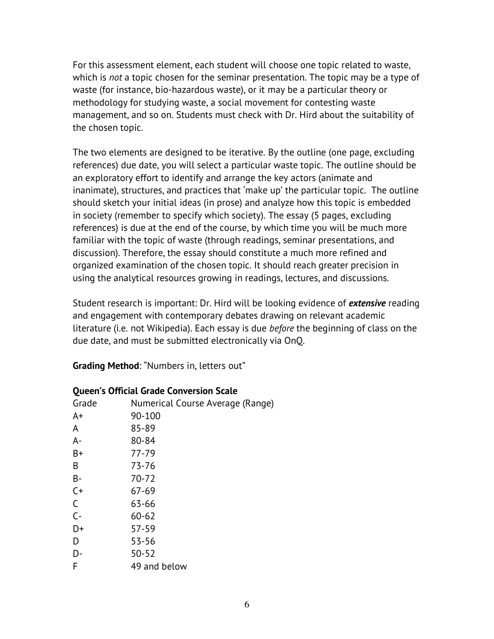For this assessment element, each student will choose one topic related to waste, which is *not* a topic chosen for the seminar presentation. The topic may be a type of waste (for instance, bio-hazardous waste), or it may be a particular theory or methodology for studying waste, a social movement for contesting waste management, and so on. Students must check with Dr. Hird about the suitability of the chosen topic.

The two elements are designed to be iterative. By the outline (one page, excluding references) due date, you will select a particular waste topic. The outline should be an exploratory effort to identify and arrange the key actors (animate and inanimate), structures, and practices that 'make up' the particular topic. The outline should sketch your initial ideas (in prose) and analyze how this topic is embedded in society (remember to specify which society). The essay (5 pages, excluding references) is due at the end of the course, by which time you will be much more familiar with the topic of waste (through readings, seminar presentations, and discussion). Therefore, the essay should constitute a much more refined and organized examination of the chosen topic. It should reach greater precision in using the analytical resources growing in readings, lectures, and discussions.

Student research is important: Dr. Hird will be looking evidence of *extensive* reading and engagement with contemporary debates drawing on relevant academic literature (i.e. not Wikipedia). Each essay is due *before* the beginning of class on the due date, and must be submitted electronically via OnQ.

**Grading Method**: "Numbers in, letters out"

### **Queen's Official Grade Conversion Scale**

| Grade | Numerical Course Average (Range) |
|-------|----------------------------------|
| $A+$  | 90-100                           |
| A     | 85-89                            |
| $A -$ | 80-84                            |
| $B+$  | 77-79                            |
| B     | 73-76                            |
| $B -$ | 70-72                            |
| $C+$  | $67 - 69$                        |
| C     | 63-66                            |
| $C -$ | $60 - 62$                        |
| D+    | $57 - 59$                        |
| D     | 53-56                            |
| D-    | $50 - 52$                        |
| F     | 49 and below                     |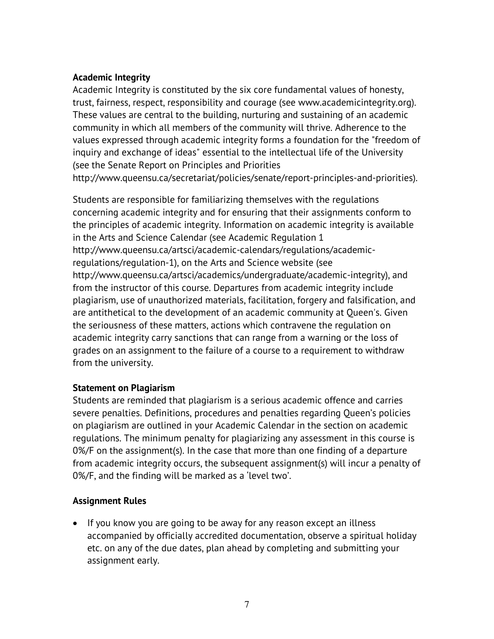# **Academic Integrity**

Academic Integrity is constituted by the six core fundamental values of honesty, trust, fairness, respect, responsibility and courage (see www.academicintegrity.org). These values are central to the building, nurturing and sustaining of an academic community in which all members of the community will thrive. Adherence to the values expressed through academic integrity forms a foundation for the "freedom of inquiry and exchange of ideas" essential to the intellectual life of the University (see the Senate Report on Principles and Priorities http://www.queensu.ca/secretariat/policies/senate/report-principles-and-priorities).

Students are responsible for familiarizing themselves with the regulations concerning academic integrity and for ensuring that their assignments conform to the principles of academic integrity. Information on academic integrity is available in the Arts and Science Calendar (see Academic Regulation 1 http://www.queensu.ca/artsci/academic-calendars/regulations/academicregulations/regulation-1), on the Arts and Science website (see http://www.queensu.ca/artsci/academics/undergraduate/academic-integrity), and from the instructor of this course. Departures from academic integrity include plagiarism, use of unauthorized materials, facilitation, forgery and falsification, and are antithetical to the development of an academic community at Queen's. Given the seriousness of these matters, actions which contravene the regulation on academic integrity carry sanctions that can range from a warning or the loss of grades on an assignment to the failure of a course to a requirement to withdraw from the university.

# **Statement on Plagiarism**

Students are reminded that plagiarism is a serious academic offence and carries severe penalties. Definitions, procedures and penalties regarding Queen's policies on plagiarism are outlined in your Academic Calendar in the section on academic regulations. The minimum penalty for plagiarizing any assessment in this course is 0%/F on the assignment(s). In the case that more than one finding of a departure from academic integrity occurs, the subsequent assignment(s) will incur a penalty of 0%/F, and the finding will be marked as a 'level two'.

# **Assignment Rules**

• If you know you are going to be away for any reason except an illness accompanied by officially accredited documentation, observe a spiritual holiday etc. on any of the due dates, plan ahead by completing and submitting your assignment early.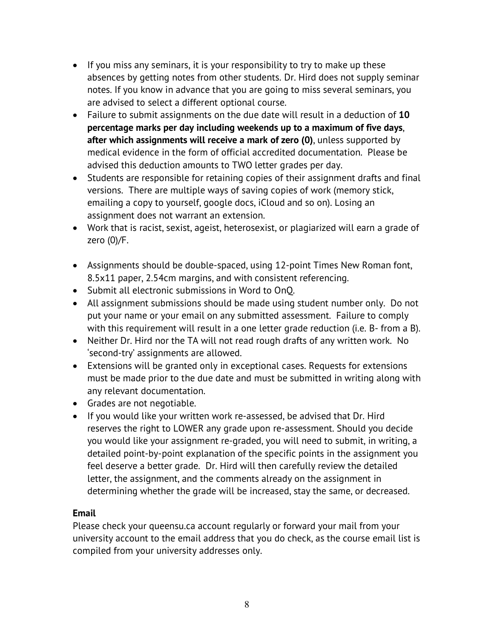- If you miss any seminars, it is your responsibility to try to make up these absences by getting notes from other students. Dr. Hird does not supply seminar notes. If you know in advance that you are going to miss several seminars, you are advised to select a different optional course.
- Failure to submit assignments on the due date will result in a deduction of **10 percentage marks per day including weekends up to a maximum of five days**, **after which assignments will receive a mark of zero (0)**, unless supported by medical evidence in the form of official accredited documentation. Please be advised this deduction amounts to TWO letter grades per day.
- Students are responsible for retaining copies of their assignment drafts and final versions. There are multiple ways of saving copies of work (memory stick, emailing a copy to yourself, google docs, iCloud and so on). Losing an assignment does not warrant an extension.
- Work that is racist, sexist, ageist, heterosexist, or plagiarized will earn a grade of zero (0)/F.
- Assignments should be double-spaced, using 12-point Times New Roman font, 8.5x11 paper, 2.54cm margins, and with consistent referencing.
- Submit all electronic submissions in Word to OnQ.
- All assignment submissions should be made using student number only. Do not put your name or your email on any submitted assessment. Failure to comply with this requirement will result in a one letter grade reduction (i.e. B- from a B).
- Neither Dr. Hird nor the TA will not read rough drafts of any written work. No 'second-try' assignments are allowed.
- Extensions will be granted only in exceptional cases. Requests for extensions must be made prior to the due date and must be submitted in writing along with any relevant documentation.
- Grades are not negotiable.
- If you would like your written work re-assessed, be advised that Dr. Hird reserves the right to LOWER any grade upon re-assessment. Should you decide you would like your assignment re-graded, you will need to submit, in writing, a detailed point-by-point explanation of the specific points in the assignment you feel deserve a better grade. Dr. Hird will then carefully review the detailed letter, the assignment, and the comments already on the assignment in determining whether the grade will be increased, stay the same, or decreased.

# **Email**

Please check your queensu.ca account regularly or forward your mail from your university account to the email address that you do check, as the course email list is compiled from your university addresses only.